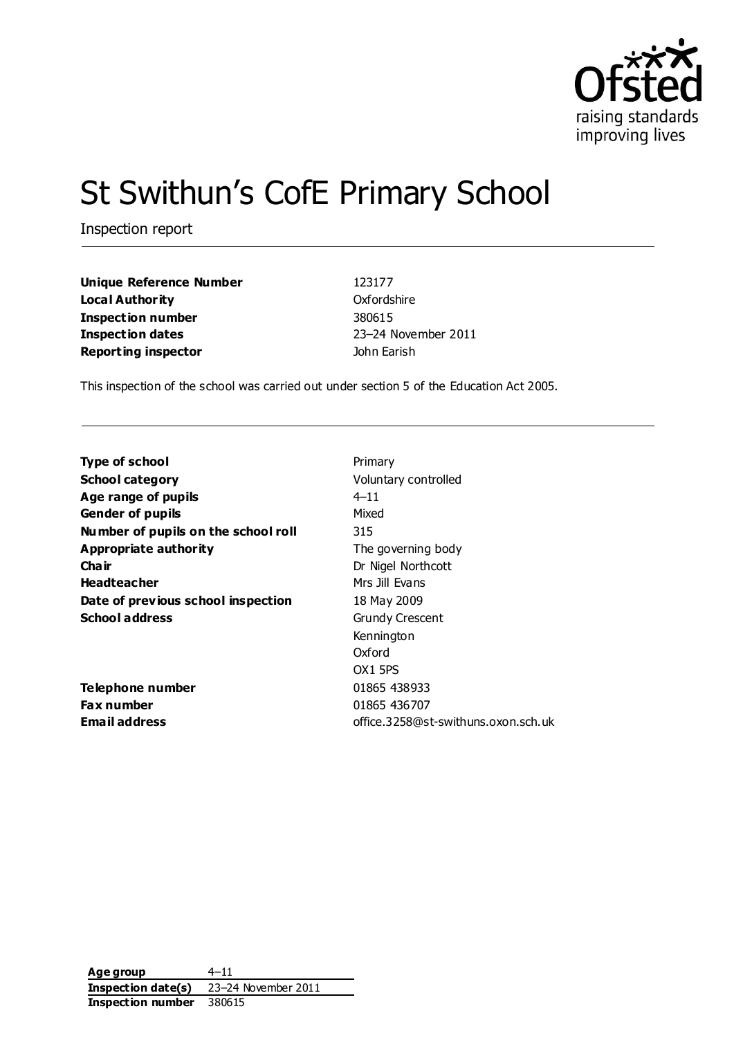

# St Swithun's CofE Primary School

Inspection report

**Unique Reference Number** 123177 **Local Authority** Oxfordshire **Inspection number** 380615 **Inspection dates** 23–24 November 2011 **Reporting inspector Contract Example 2015** John Earish

This inspection of the school was carried out under section 5 of the Education Act 2005.

| Primary                             |
|-------------------------------------|
| Voluntary controlled                |
| $4 - 11$                            |
| Mixed                               |
| 315                                 |
| The governing body                  |
| Dr Nigel Northcott                  |
| Mrs Jill Evans                      |
| 18 May 2009                         |
| <b>Grundy Crescent</b>              |
| Kennington                          |
| Oxford                              |
| OX <sub>1</sub> 5PS                 |
| 01865 438933                        |
| 01865 436707                        |
| office.3258@st-swithuns.oxon.sch.uk |
|                                     |

**Age group** 4–11 **Inspection date(s)** 23–24 November 2011 **Inspection number** 380615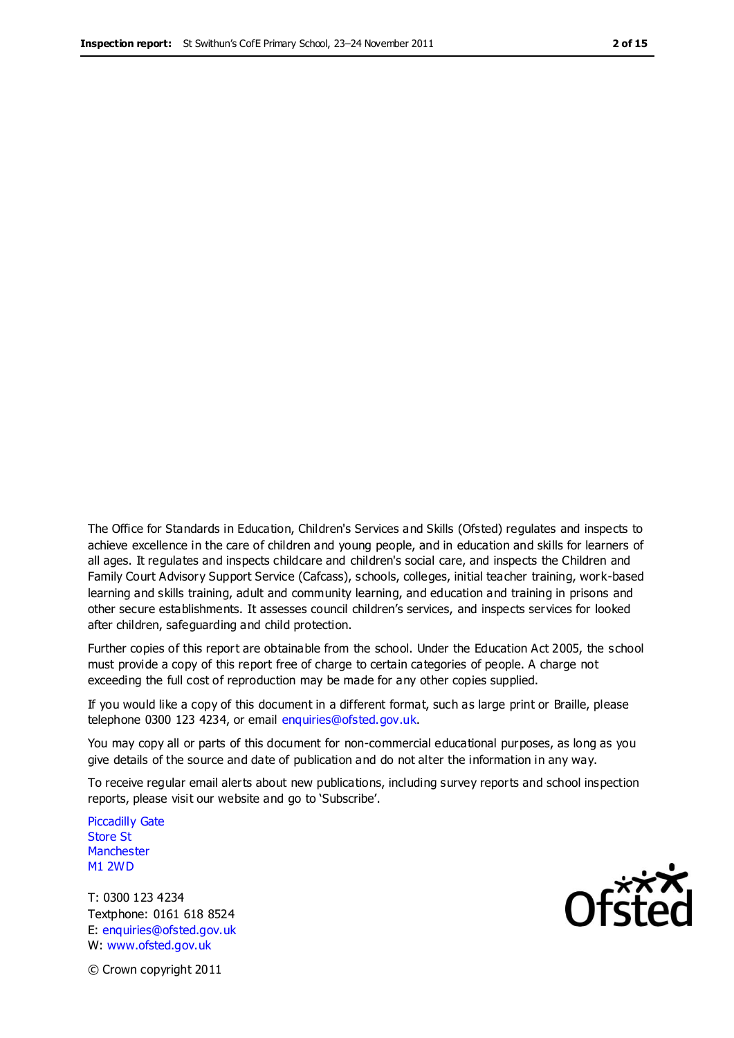The Office for Standards in Education, Children's Services and Skills (Ofsted) regulates and inspects to achieve excellence in the care of children and young people, and in education and skills for learners of all ages. It regulates and inspects childcare and children's social care, and inspects the Children and Family Court Advisory Support Service (Cafcass), schools, colleges, initial teacher training, work-based learning and skills training, adult and community learning, and education and training in prisons and other secure establishments. It assesses council children's services, and inspects services for looked after children, safeguarding and child protection.

Further copies of this report are obtainable from the school. Under the Education Act 2005, the school must provide a copy of this report free of charge to certain categories of people. A charge not exceeding the full cost of reproduction may be made for any other copies supplied.

If you would like a copy of this document in a different format, such as large print or Braille, please telephone 0300 123 4234, or email enquiries@ofsted.gov.uk.

You may copy all or parts of this document for non-commercial educational purposes, as long as you give details of the source and date of publication and do not alter the information in any way.

To receive regular email alerts about new publications, including survey reports and school inspection reports, please visit our website and go to 'Subscribe'.

Piccadilly Gate Store St **Manchester** M1 2WD

T: 0300 123 4234 Textphone: 0161 618 8524 E: enquiries@ofsted.gov.uk W: www.ofsted.gov.uk

**Ofsted** 

© Crown copyright 2011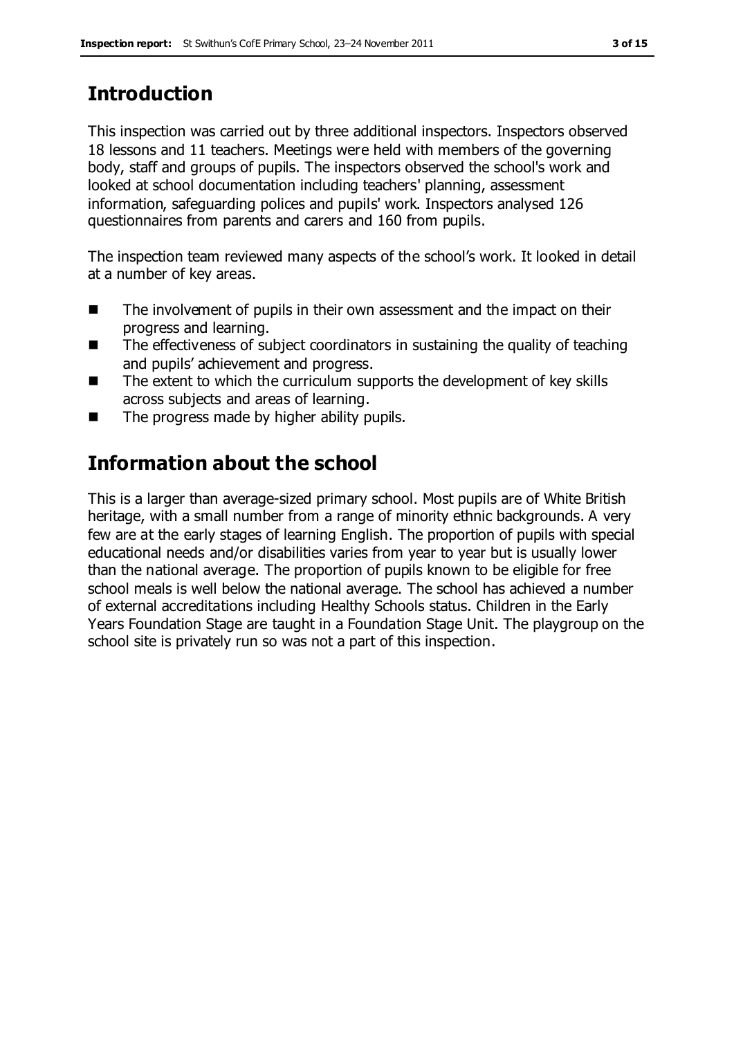# **Introduction**

This inspection was carried out by three additional inspectors. Inspectors observed 18 lessons and 11 teachers. Meetings were held with members of the governing body, staff and groups of pupils. The inspectors observed the school's work and looked at school documentation including teachers' planning, assessment information, safeguarding polices and pupils' work. Inspectors analysed 126 questionnaires from parents and carers and 160 from pupils.

The inspection team reviewed many aspects of the school's work. It looked in detail at a number of key areas.

- The involvement of pupils in their own assessment and the impact on their progress and learning.
- The effectiveness of subject coordinators in sustaining the quality of teaching and pupils' achievement and progress.
- The extent to which the curriculum supports the development of key skills across subjects and areas of learning.
- $\blacksquare$  The progress made by higher ability pupils.

# **Information about the school**

This is a larger than average-sized primary school. Most pupils are of White British heritage, with a small number from a range of minority ethnic backgrounds. A very few are at the early stages of learning English. The proportion of pupils with special educational needs and/or disabilities varies from year to year but is usually lower than the national average. The proportion of pupils known to be eligible for free school meals is well below the national average. The school has achieved a number of external accreditations including Healthy Schools status. Children in the Early Years Foundation Stage are taught in a Foundation Stage Unit. The playgroup on the school site is privately run so was not a part of this inspection.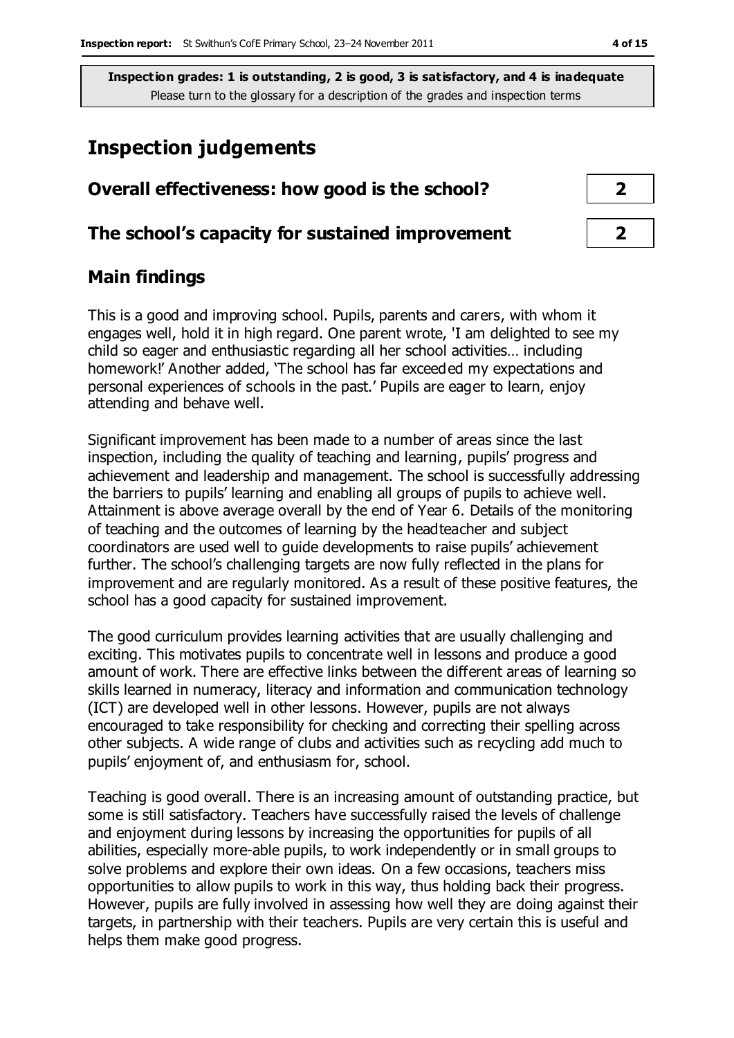## **Inspection judgements**

# **Overall effectiveness: how good is the school? 2**

#### **The school's capacity for sustained improvement 2**

#### **Main findings**

This is a good and improving school. Pupils, parents and carers, with whom it engages well, hold it in high regard. One parent wrote, 'I am delighted to see my child so eager and enthusiastic regarding all her school activities… including homework!' Another added, 'The school has far exceeded my expectations and personal experiences of schools in the past.' Pupils are eager to learn, enjoy attending and behave well.

Significant improvement has been made to a number of areas since the last inspection, including the quality of teaching and learning, pupils' progress and achievement and leadership and management. The school is successfully addressing the barriers to pupils' learning and enabling all groups of pupils to achieve well. Attainment is above average overall by the end of Year 6. Details of the monitoring of teaching and the outcomes of learning by the headteacher and subject coordinators are used well to guide developments to raise pupils' achievement further. The school's challenging targets are now fully reflected in the plans for improvement and are regularly monitored. As a result of these positive features, the school has a good capacity for sustained improvement.

The good curriculum provides learning activities that are usually challenging and exciting. This motivates pupils to concentrate well in lessons and produce a good amount of work. There are effective links between the different areas of learning so skills learned in numeracy, literacy and information and communication technology (ICT) are developed well in other lessons. However, pupils are not always encouraged to take responsibility for checking and correcting their spelling across other subjects. A wide range of clubs and activities such as recycling add much to pupils' enjoyment of, and enthusiasm for, school.

Teaching is good overall. There is an increasing amount of outstanding practice, but some is still satisfactory. Teachers have successfully raised the levels of challenge and enjoyment during lessons by increasing the opportunities for pupils of all abilities, especially more-able pupils, to work independently or in small groups to solve problems and explore their own ideas. On a few occasions, teachers miss opportunities to allow pupils to work in this way, thus holding back their progress. However, pupils are fully involved in assessing how well they are doing against their targets, in partnership with their teachers. Pupils are very certain this is useful and helps them make good progress.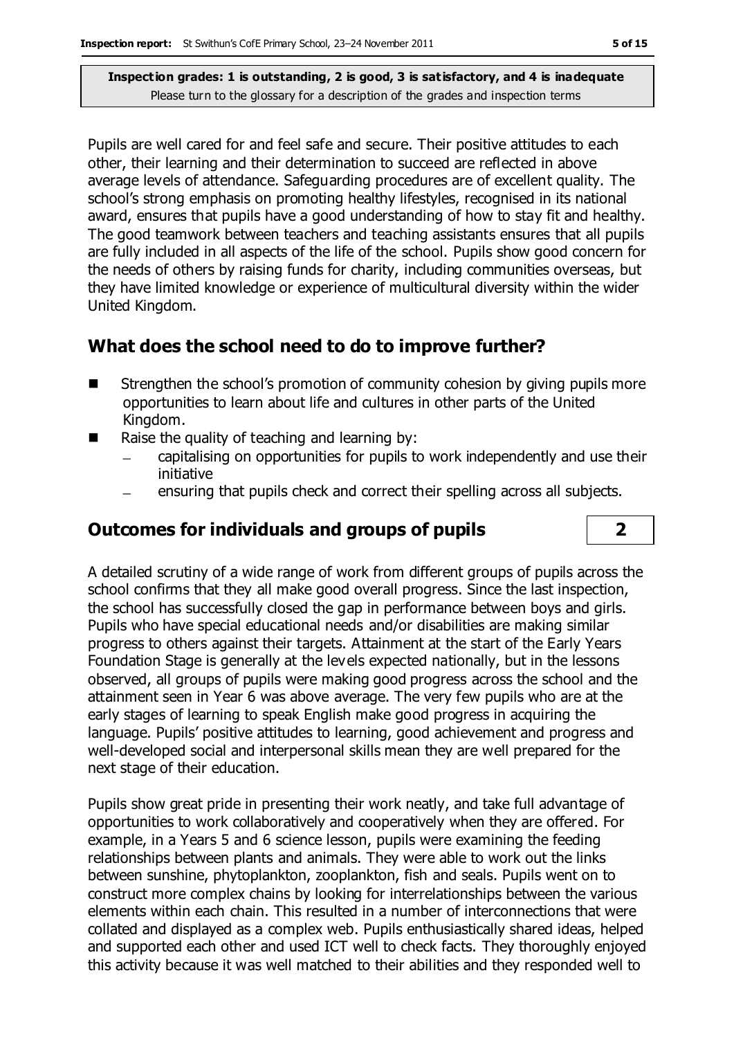Pupils are well cared for and feel safe and secure. Their positive attitudes to each other, their learning and their determination to succeed are reflected in above average levels of attendance. Safeguarding procedures are of excellent quality. The school's strong emphasis on promoting healthy lifestyles, recognised in its national award, ensures that pupils have a good understanding of how to stay fit and healthy. The good teamwork between teachers and teaching assistants ensures that all pupils are fully included in all aspects of the life of the school. Pupils show good concern for the needs of others by raising funds for charity, including communities overseas, but they have limited knowledge or experience of multicultural diversity within the wider United Kingdom.

## **What does the school need to do to improve further?**

- Strengthen the school's promotion of community cohesion by giving pupils more opportunities to learn about life and cultures in other parts of the United Kingdom.
- $\blacksquare$  Raise the quality of teaching and learning by:
	- capitalising on opportunities for pupils to work independently and use their initiative
	- ensuring that pupils check and correct their spelling across all subjects.

## **Outcomes for individuals and groups of pupils 2**

A detailed scrutiny of a wide range of work from different groups of pupils across the school confirms that they all make good overall progress. Since the last inspection, the school has successfully closed the gap in performance between boys and girls. Pupils who have special educational needs and/or disabilities are making similar progress to others against their targets. Attainment at the start of the Early Years Foundation Stage is generally at the levels expected nationally, but in the lessons observed, all groups of pupils were making good progress across the school and the attainment seen in Year 6 was above average. The very few pupils who are at the early stages of learning to speak English make good progress in acquiring the language. Pupils' positive attitudes to learning, good achievement and progress and well-developed social and interpersonal skills mean they are well prepared for the next stage of their education.

Pupils show great pride in presenting their work neatly, and take full advantage of opportunities to work collaboratively and cooperatively when they are offered. For example, in a Years 5 and 6 science lesson, pupils were examining the feeding relationships between plants and animals. They were able to work out the links between sunshine, phytoplankton, zooplankton, fish and seals. Pupils went on to construct more complex chains by looking for interrelationships between the various elements within each chain. This resulted in a number of interconnections that were collated and displayed as a complex web. Pupils enthusiastically shared ideas, helped and supported each other and used ICT well to check facts. They thoroughly enjoyed this activity because it was well matched to their abilities and they responded well to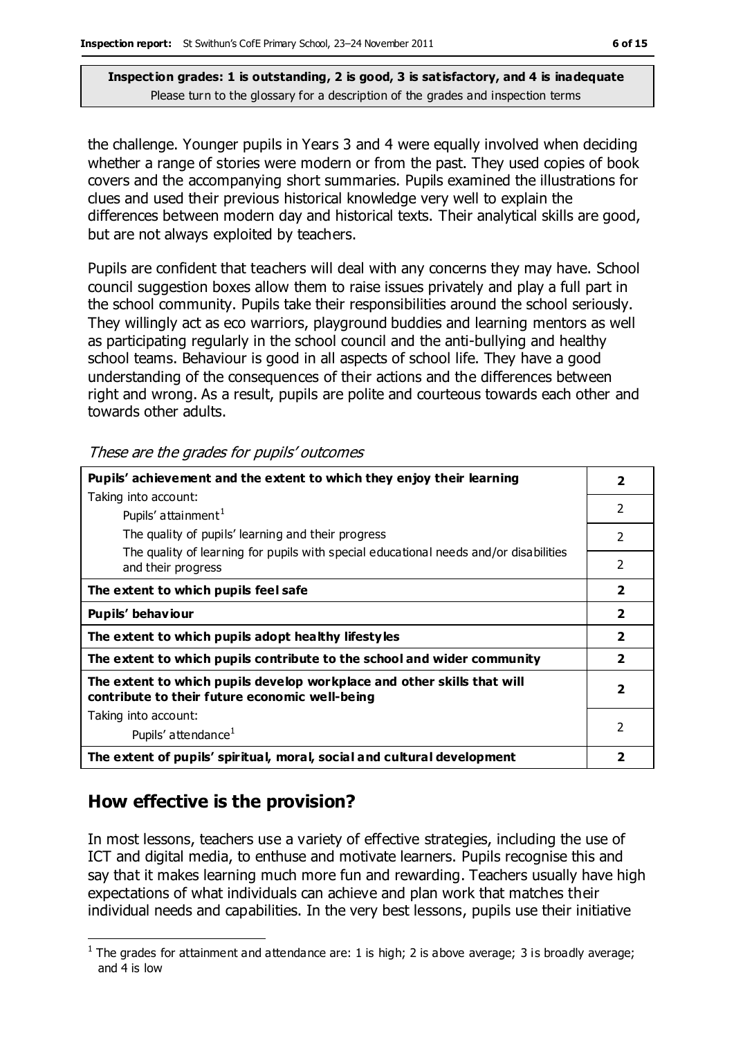the challenge. Younger pupils in Years 3 and 4 were equally involved when deciding whether a range of stories were modern or from the past. They used copies of book covers and the accompanying short summaries. Pupils examined the illustrations for clues and used their previous historical knowledge very well to explain the differences between modern day and historical texts. Their analytical skills are good, but are not always exploited by teachers.

Pupils are confident that teachers will deal with any concerns they may have. School council suggestion boxes allow them to raise issues privately and play a full part in the school community. Pupils take their responsibilities around the school seriously. They willingly act as eco warriors, playground buddies and learning mentors as well as participating regularly in the school council and the anti-bullying and healthy school teams. Behaviour is good in all aspects of school life. They have a good understanding of the consequences of their actions and the differences between right and wrong. As a result, pupils are polite and courteous towards each other and towards other adults.

| Pupils' achievement and the extent to which they enjoy their learning                                                     |                          |  |  |  |
|---------------------------------------------------------------------------------------------------------------------------|--------------------------|--|--|--|
| Taking into account:                                                                                                      |                          |  |  |  |
| Pupils' attainment <sup>1</sup>                                                                                           | $\mathcal{P}$            |  |  |  |
| The quality of pupils' learning and their progress                                                                        | 2                        |  |  |  |
| The quality of learning for pupils with special educational needs and/or disabilities<br>and their progress               | $\overline{2}$           |  |  |  |
| The extent to which pupils feel safe                                                                                      | $\overline{\mathbf{2}}$  |  |  |  |
| Pupils' behaviour                                                                                                         |                          |  |  |  |
| The extent to which pupils adopt healthy lifestyles                                                                       |                          |  |  |  |
| The extent to which pupils contribute to the school and wider community                                                   |                          |  |  |  |
| The extent to which pupils develop workplace and other skills that will<br>contribute to their future economic well-being |                          |  |  |  |
| Taking into account:                                                                                                      |                          |  |  |  |
| Pupils' attendance <sup>1</sup>                                                                                           | $\overline{\phantom{a}}$ |  |  |  |
| The extent of pupils' spiritual, moral, social and cultural development                                                   |                          |  |  |  |

These are the grades for pupils' outcomes

## **How effective is the provision?**

In most lessons, teachers use a variety of effective strategies, including the use of ICT and digital media, to enthuse and motivate learners. Pupils recognise this and say that it makes learning much more fun and rewarding. Teachers usually have high expectations of what individuals can achieve and plan work that matches their individual needs and capabilities. In the very best lessons, pupils use their initiative

 $\overline{a}$ <sup>1</sup> The grades for attainment and attendance are: 1 is high; 2 is above average; 3 is broadly average; and 4 is low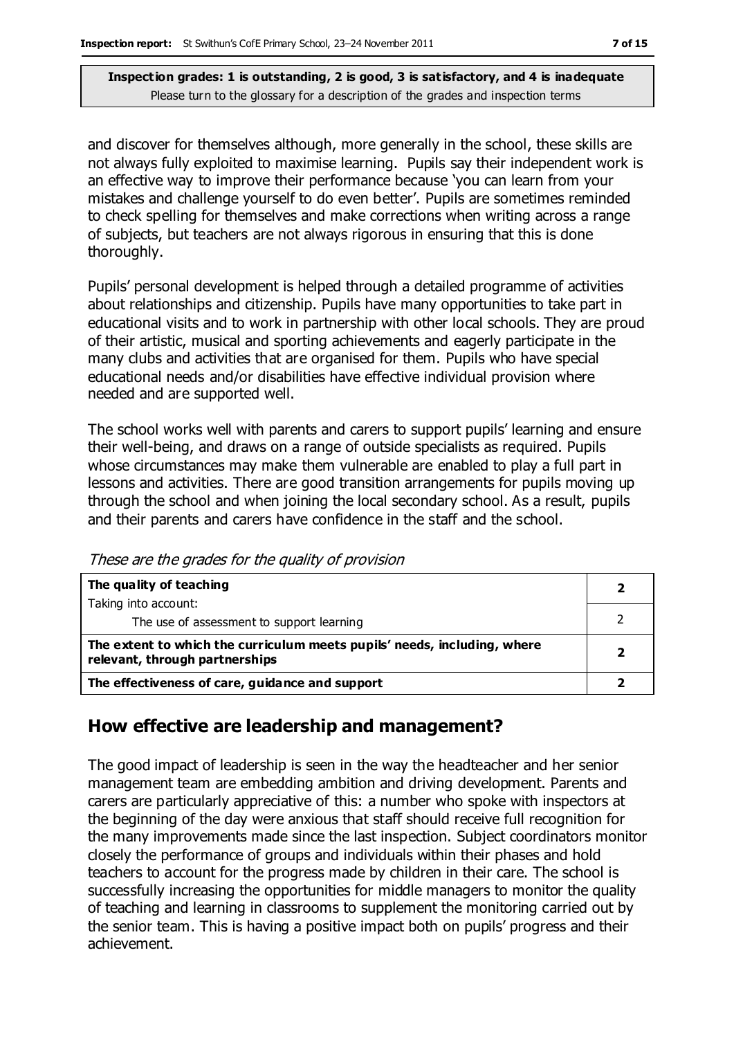and discover for themselves although, more generally in the school, these skills are not always fully exploited to maximise learning. Pupils say their independent work is an effective way to improve their performance because 'you can learn from your mistakes and challenge yourself to do even better'. Pupils are sometimes reminded to check spelling for themselves and make corrections when writing across a range of subjects, but teachers are not always rigorous in ensuring that this is done thoroughly.

Pupils' personal development is helped through a detailed programme of activities about relationships and citizenship. Pupils have many opportunities to take part in educational visits and to work in partnership with other local schools. They are proud of their artistic, musical and sporting achievements and eagerly participate in the many clubs and activities that are organised for them. Pupils who have special educational needs and/or disabilities have effective individual provision where needed and are supported well.

The school works well with parents and carers to support pupils' learning and ensure their well-being, and draws on a range of outside specialists as required. Pupils whose circumstances may make them vulnerable are enabled to play a full part in lessons and activities. There are good transition arrangements for pupils moving up through the school and when joining the local secondary school. As a result, pupils and their parents and carers have confidence in the staff and the school.

| The quality of teaching                                                                                    |  |
|------------------------------------------------------------------------------------------------------------|--|
| Taking into account:                                                                                       |  |
| The use of assessment to support learning                                                                  |  |
| The extent to which the curriculum meets pupils' needs, including, where<br>relevant, through partnerships |  |
| The effectiveness of care, guidance and support                                                            |  |

These are the grades for the quality of provision

## **How effective are leadership and management?**

The good impact of leadership is seen in the way the headteacher and her senior management team are embedding ambition and driving development. Parents and carers are particularly appreciative of this: a number who spoke with inspectors at the beginning of the day were anxious that staff should receive full recognition for the many improvements made since the last inspection. Subject coordinators monitor closely the performance of groups and individuals within their phases and hold teachers to account for the progress made by children in their care. The school is successfully increasing the opportunities for middle managers to monitor the quality of teaching and learning in classrooms to supplement the monitoring carried out by the senior team. This is having a positive impact both on pupils' progress and their achievement.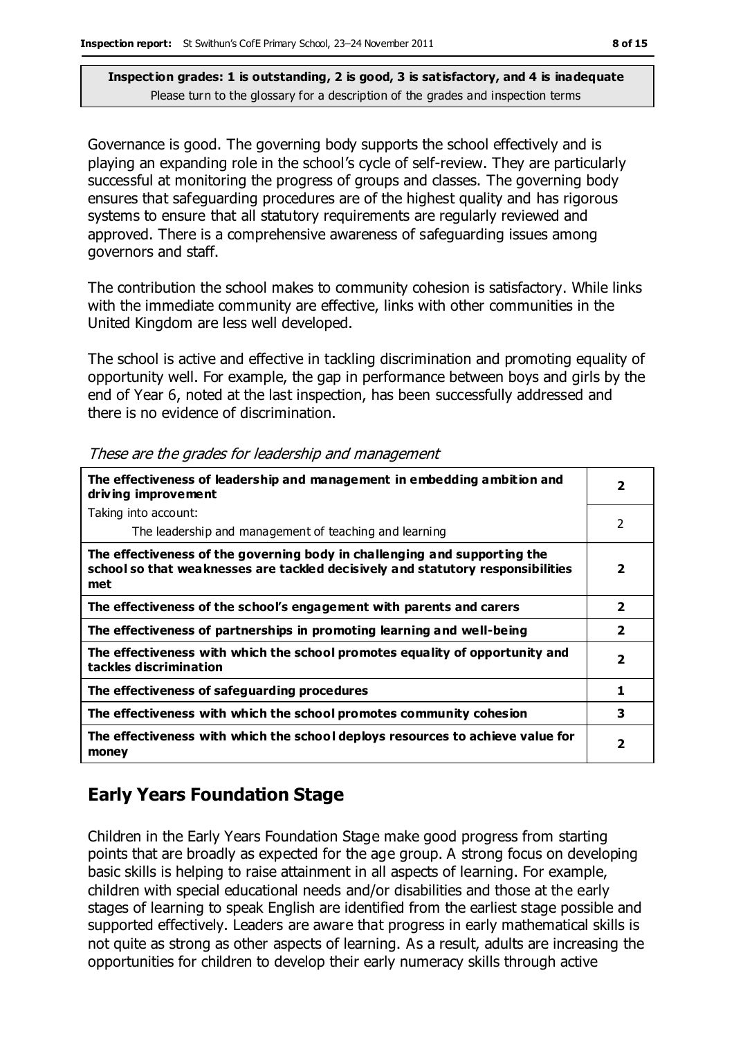Governance is good. The governing body supports the school effectively and is playing an expanding role in the school's cycle of self-review. They are particularly successful at monitoring the progress of groups and classes. The governing body ensures that safeguarding procedures are of the highest quality and has rigorous systems to ensure that all statutory requirements are regularly reviewed and approved. There is a comprehensive awareness of safeguarding issues among governors and staff.

The contribution the school makes to community cohesion is satisfactory. While links with the immediate community are effective, links with other communities in the United Kingdom are less well developed.

The school is active and effective in tackling discrimination and promoting equality of opportunity well. For example, the gap in performance between boys and girls by the end of Year 6, noted at the last inspection, has been successfully addressed and there is no evidence of discrimination.

| The effectiveness of leadership and management in embedding ambition and<br>driving improvement                                                                     |                         |  |  |
|---------------------------------------------------------------------------------------------------------------------------------------------------------------------|-------------------------|--|--|
| Taking into account:                                                                                                                                                |                         |  |  |
| The leadership and management of teaching and learning                                                                                                              | 2                       |  |  |
| The effectiveness of the governing body in challenging and supporting the<br>school so that weaknesses are tackled decisively and statutory responsibilities<br>met | 2                       |  |  |
| The effectiveness of the school's engagement with parents and carers                                                                                                |                         |  |  |
| The effectiveness of partnerships in promoting learning and well-being                                                                                              | $\overline{\mathbf{2}}$ |  |  |
| The effectiveness with which the school promotes equality of opportunity and<br>tackles discrimination                                                              |                         |  |  |
| The effectiveness of safeguarding procedures                                                                                                                        | 1                       |  |  |
| The effectiveness with which the school promotes community cohesion                                                                                                 | 3                       |  |  |
| The effectiveness with which the school deploys resources to achieve value for<br>money                                                                             | 2                       |  |  |

These are the grades for leadership and management

## **Early Years Foundation Stage**

Children in the Early Years Foundation Stage make good progress from starting points that are broadly as expected for the age group. A strong focus on developing basic skills is helping to raise attainment in all aspects of learning. For example, children with special educational needs and/or disabilities and those at the early stages of learning to speak English are identified from the earliest stage possible and supported effectively. Leaders are aware that progress in early mathematical skills is not quite as strong as other aspects of learning. As a result, adults are increasing the opportunities for children to develop their early numeracy skills through active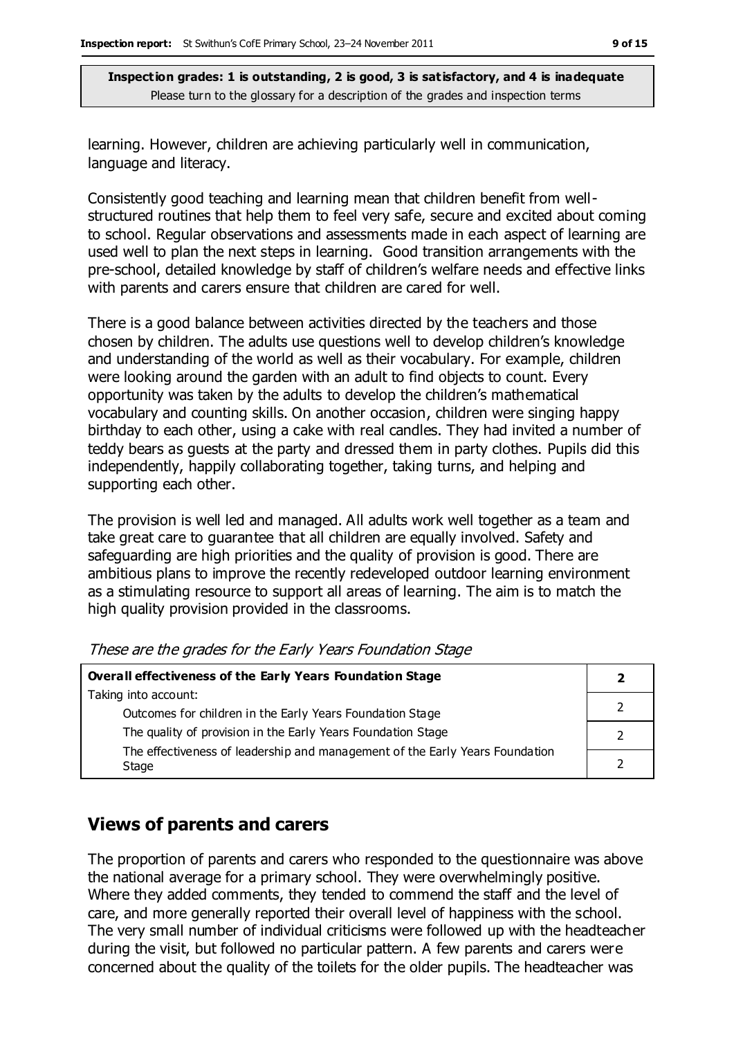learning. However, children are achieving particularly well in communication, language and literacy.

Consistently good teaching and learning mean that children benefit from wellstructured routines that help them to feel very safe, secure and excited about coming to school. Regular observations and assessments made in each aspect of learning are used well to plan the next steps in learning. Good transition arrangements with the pre-school, detailed knowledge by staff of children's welfare needs and effective links with parents and carers ensure that children are cared for well.

There is a good balance between activities directed by the teachers and those chosen by children. The adults use questions well to develop children's knowledge and understanding of the world as well as their vocabulary. For example, children were looking around the garden with an adult to find objects to count. Every opportunity was taken by the adults to develop the children's mathematical vocabulary and counting skills. On another occasion, children were singing happy birthday to each other, using a cake with real candles. They had invited a number of teddy bears as guests at the party and dressed them in party clothes. Pupils did this independently, happily collaborating together, taking turns, and helping and supporting each other.

The provision is well led and managed. All adults work well together as a team and take great care to guarantee that all children are equally involved. Safety and safeguarding are high priorities and the quality of provision is good. There are ambitious plans to improve the recently redeveloped outdoor learning environment as a stimulating resource to support all areas of learning. The aim is to match the high quality provision provided in the classrooms.

| Overall effectiveness of the Early Years Foundation Stage                    |  |  |
|------------------------------------------------------------------------------|--|--|
| Taking into account:                                                         |  |  |
| Outcomes for children in the Early Years Foundation Stage                    |  |  |
| The quality of provision in the Early Years Foundation Stage                 |  |  |
| The effectiveness of leadership and management of the Early Years Foundation |  |  |
| Stage                                                                        |  |  |

These are the grades for the Early Years Foundation Stage

### **Views of parents and carers**

The proportion of parents and carers who responded to the questionnaire was above the national average for a primary school. They were overwhelmingly positive. Where they added comments, they tended to commend the staff and the level of care, and more generally reported their overall level of happiness with the school. The very small number of individual criticisms were followed up with the headteacher during the visit, but followed no particular pattern. A few parents and carers were concerned about the quality of the toilets for the older pupils. The headteacher was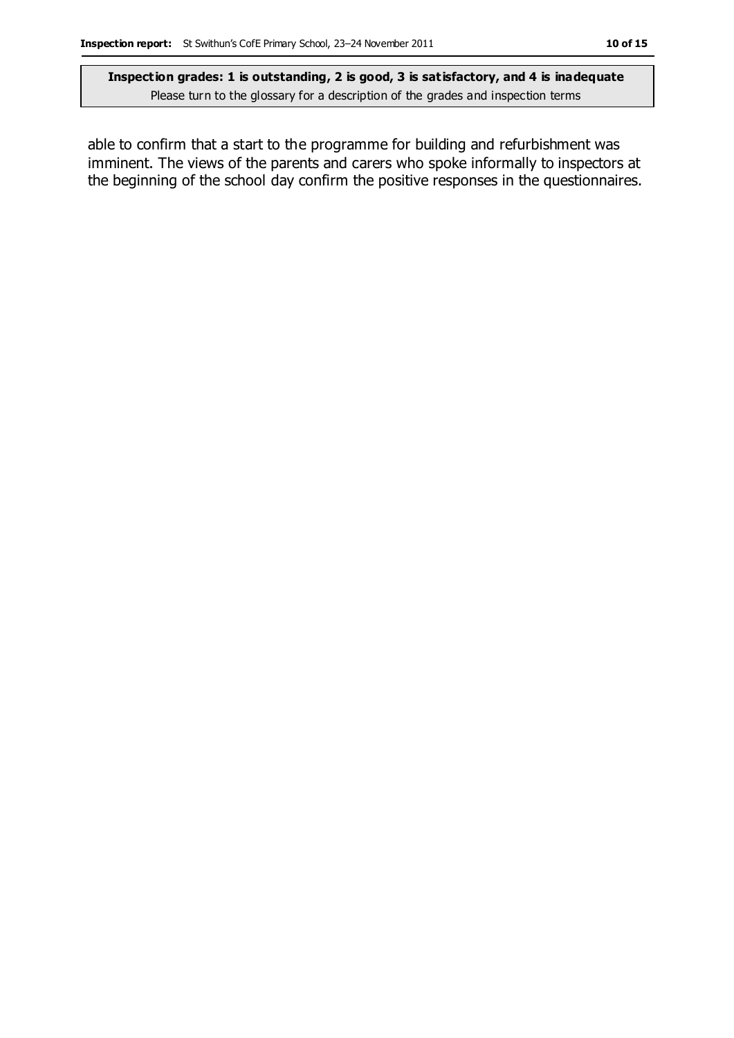able to confirm that a start to the programme for building and refurbishment was imminent. The views of the parents and carers who spoke informally to inspectors at the beginning of the school day confirm the positive responses in the questionnaires.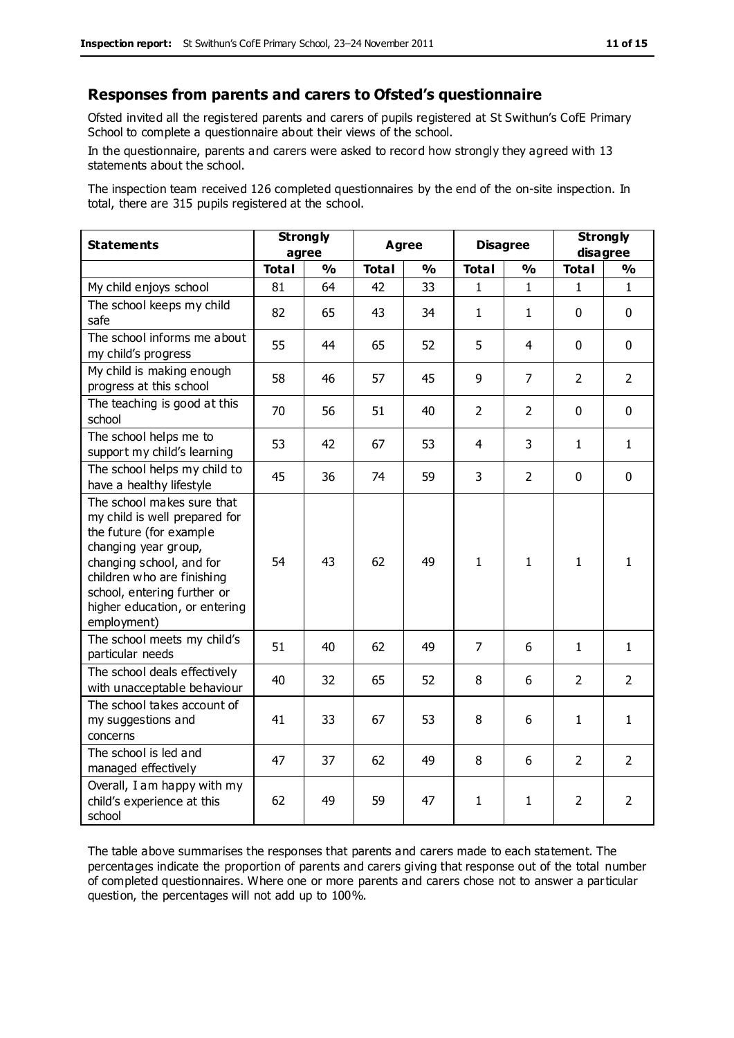#### **Responses from parents and carers to Ofsted's questionnaire**

Ofsted invited all the registered parents and carers of pupils registered at St Swithun's CofE Primary School to complete a questionnaire about their views of the school.

In the questionnaire, parents and carers were asked to record how strongly they agreed with 13 statements about the school.

The inspection team received 126 completed questionnaires by the end of the on-site inspection. In total, there are 315 pupils registered at the school.

| <b>Statements</b>                                                                                                                                                                                                                                       | <b>Strongly</b><br>agree |               |              |               |                | <b>Agree</b>   |                | <b>Disagree</b> |  | <b>Strongly</b><br>disagree |  |
|---------------------------------------------------------------------------------------------------------------------------------------------------------------------------------------------------------------------------------------------------------|--------------------------|---------------|--------------|---------------|----------------|----------------|----------------|-----------------|--|-----------------------------|--|
|                                                                                                                                                                                                                                                         | <b>Total</b>             | $\frac{1}{2}$ | <b>Total</b> | $\frac{1}{2}$ | <b>Total</b>   | $\frac{0}{0}$  | <b>Total</b>   | %               |  |                             |  |
| My child enjoys school                                                                                                                                                                                                                                  | 81                       | 64            | 42           | 33            | $\mathbf{1}$   | $\mathbf{1}$   | $\mathbf{1}$   | $\mathbf{1}$    |  |                             |  |
| The school keeps my child<br>safe                                                                                                                                                                                                                       | 82                       | 65            | 43           | 34            | $\mathbf{1}$   | 1              | $\mathbf 0$    | $\mathbf 0$     |  |                             |  |
| The school informs me about<br>my child's progress                                                                                                                                                                                                      | 55                       | 44            | 65           | 52            | 5              | 4              | $\mathbf 0$    | $\mathbf 0$     |  |                             |  |
| My child is making enough<br>progress at this school                                                                                                                                                                                                    | 58                       | 46            | 57           | 45            | 9              | $\overline{7}$ | $\overline{2}$ | $\overline{2}$  |  |                             |  |
| The teaching is good at this<br>school                                                                                                                                                                                                                  | 70                       | 56            | 51           | 40            | $\overline{2}$ | 2              | $\Omega$       | $\mathbf 0$     |  |                             |  |
| The school helps me to<br>support my child's learning                                                                                                                                                                                                   | 53                       | 42            | 67           | 53            | 4              | 3              | $\mathbf{1}$   | $\mathbf{1}$    |  |                             |  |
| The school helps my child to<br>have a healthy lifestyle                                                                                                                                                                                                | 45                       | 36            | 74           | 59            | 3              | $\overline{2}$ | $\mathbf 0$    | $\mathbf 0$     |  |                             |  |
| The school makes sure that<br>my child is well prepared for<br>the future (for example<br>changing year group,<br>changing school, and for<br>children who are finishing<br>school, entering further or<br>higher education, or entering<br>employment) | 54                       | 43            | 62           | 49            | $\mathbf{1}$   | $\mathbf{1}$   | $\mathbf{1}$   | $\mathbf{1}$    |  |                             |  |
| The school meets my child's<br>particular needs                                                                                                                                                                                                         | 51                       | 40            | 62           | 49            | $\overline{7}$ | 6              | $\mathbf{1}$   | $\mathbf{1}$    |  |                             |  |
| The school deals effectively<br>with unacceptable behaviour                                                                                                                                                                                             | 40                       | 32            | 65           | 52            | 8              | 6              | $\overline{2}$ | $\overline{2}$  |  |                             |  |
| The school takes account of<br>my suggestions and<br>concerns                                                                                                                                                                                           | 41                       | 33            | 67           | 53            | 8              | 6              | $\mathbf{1}$   | $\mathbf{1}$    |  |                             |  |
| The school is led and<br>managed effectively                                                                                                                                                                                                            | 47                       | 37            | 62           | 49            | 8              | 6              | $\overline{2}$ | $\overline{2}$  |  |                             |  |
| Overall, I am happy with my<br>child's experience at this<br>school                                                                                                                                                                                     | 62                       | 49            | 59           | 47            | $\mathbf{1}$   | 1              | $\overline{2}$ | $\overline{2}$  |  |                             |  |

The table above summarises the responses that parents and carers made to each statement. The percentages indicate the proportion of parents and carers giving that response out of the total number of completed questionnaires. Where one or more parents and carers chose not to answer a particular question, the percentages will not add up to 100%.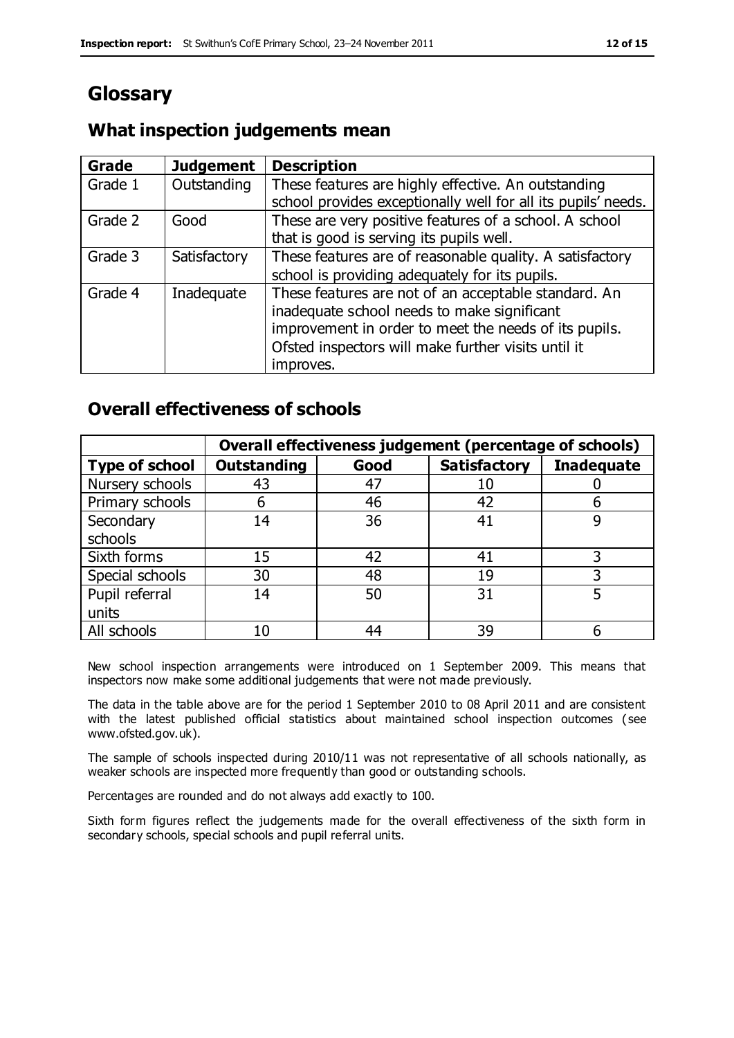# **Glossary**

### **What inspection judgements mean**

| <b>Grade</b> | <b>Judgement</b> | <b>Description</b>                                                                                                                                                                                                               |
|--------------|------------------|----------------------------------------------------------------------------------------------------------------------------------------------------------------------------------------------------------------------------------|
| Grade 1      | Outstanding      | These features are highly effective. An outstanding<br>school provides exceptionally well for all its pupils' needs.                                                                                                             |
| Grade 2      | Good             | These are very positive features of a school. A school<br>that is good is serving its pupils well.                                                                                                                               |
| Grade 3      | Satisfactory     | These features are of reasonable quality. A satisfactory<br>school is providing adequately for its pupils.                                                                                                                       |
| Grade 4      | Inadequate       | These features are not of an acceptable standard. An<br>inadequate school needs to make significant<br>improvement in order to meet the needs of its pupils.<br>Ofsted inspectors will make further visits until it<br>improves. |

#### **Overall effectiveness of schools**

|                       | Overall effectiveness judgement (percentage of schools) |      |                     |                   |
|-----------------------|---------------------------------------------------------|------|---------------------|-------------------|
| <b>Type of school</b> | <b>Outstanding</b>                                      | Good | <b>Satisfactory</b> | <b>Inadequate</b> |
| Nursery schools       | 43                                                      | 47   |                     |                   |
| Primary schools       | h                                                       | 46   | 42                  |                   |
| Secondary             | 14                                                      | 36   | 41                  |                   |
| schools               |                                                         |      |                     |                   |
| Sixth forms           | 15                                                      | 42   | 41                  | 3                 |
| Special schools       | 30                                                      | 48   | 19                  |                   |
| Pupil referral        | 14                                                      | 50   | 31                  |                   |
| units                 |                                                         |      |                     |                   |
| All schools           | 10                                                      | 44   | 39                  |                   |

New school inspection arrangements were introduced on 1 September 2009. This means that inspectors now make some additional judgements that were not made previously.

The data in the table above are for the period 1 September 2010 to 08 April 2011 and are consistent with the latest published official statistics about maintained school inspection outcomes ( see www.ofsted.gov.uk).

The sample of schools inspected during 2010/11 was not representative of all schools nationally, as weaker schools are inspected more frequently than good or outstanding schools.

Percentages are rounded and do not always add exactly to 100.

Sixth form figures reflect the judgements made for the overall effectiveness of the sixth form in secondary schools, special schools and pupil referral units.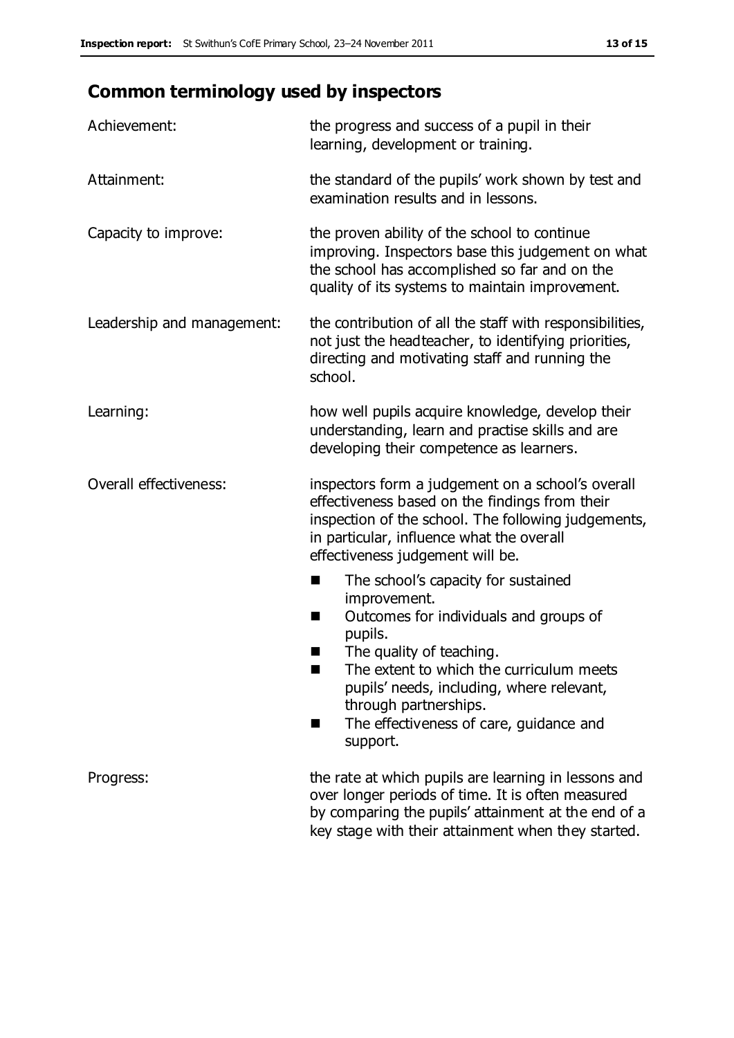# **Common terminology used by inspectors**

| Achievement:                  | the progress and success of a pupil in their<br>learning, development or training.                                                                                                                                                                                                                                           |  |  |
|-------------------------------|------------------------------------------------------------------------------------------------------------------------------------------------------------------------------------------------------------------------------------------------------------------------------------------------------------------------------|--|--|
| Attainment:                   | the standard of the pupils' work shown by test and<br>examination results and in lessons.                                                                                                                                                                                                                                    |  |  |
| Capacity to improve:          | the proven ability of the school to continue<br>improving. Inspectors base this judgement on what<br>the school has accomplished so far and on the<br>quality of its systems to maintain improvement.                                                                                                                        |  |  |
| Leadership and management:    | the contribution of all the staff with responsibilities,<br>not just the headteacher, to identifying priorities,<br>directing and motivating staff and running the<br>school.                                                                                                                                                |  |  |
| Learning:                     | how well pupils acquire knowledge, develop their<br>understanding, learn and practise skills and are<br>developing their competence as learners.                                                                                                                                                                             |  |  |
| <b>Overall effectiveness:</b> | inspectors form a judgement on a school's overall<br>effectiveness based on the findings from their<br>inspection of the school. The following judgements,<br>in particular, influence what the overall<br>effectiveness judgement will be.                                                                                  |  |  |
|                               | The school's capacity for sustained<br>■<br>improvement.<br>Outcomes for individuals and groups of<br>H<br>pupils.<br>The quality of teaching.<br>The extent to which the curriculum meets<br>pupils' needs, including, where relevant,<br>through partnerships.<br>The effectiveness of care, guidance and<br>٠<br>support. |  |  |
| Progress:                     | the rate at which pupils are learning in lessons and<br>over longer periods of time. It is often measured<br>by comparing the pupils' attainment at the end of a<br>key stage with their attainment when they started.                                                                                                       |  |  |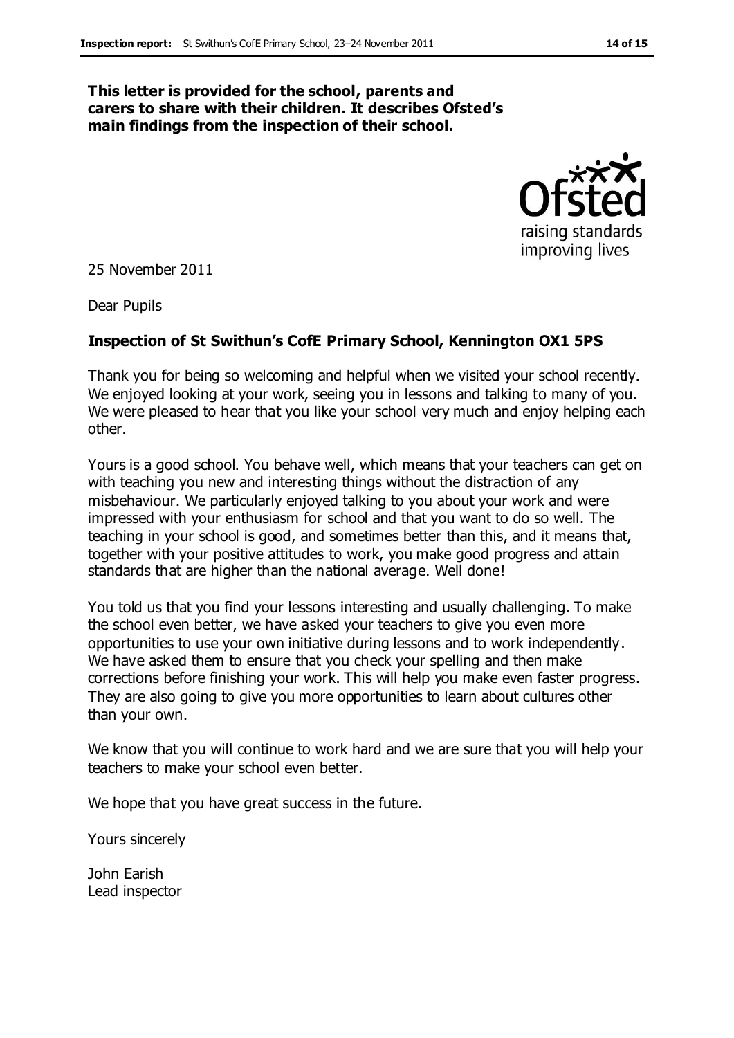#### **This letter is provided for the school, parents and carers to share with their children. It describes Ofsted's main findings from the inspection of their school.**



25 November 2011

Dear Pupils

#### **Inspection of St Swithun's CofE Primary School, Kennington OX1 5PS**

Thank you for being so welcoming and helpful when we visited your school recently. We enjoyed looking at your work, seeing you in lessons and talking to many of you. We were pleased to hear that you like your school very much and enjoy helping each other.

Yours is a good school. You behave well, which means that your teachers can get on with teaching you new and interesting things without the distraction of any misbehaviour. We particularly enjoyed talking to you about your work and were impressed with your enthusiasm for school and that you want to do so well. The teaching in your school is good, and sometimes better than this, and it means that, together with your positive attitudes to work, you make good progress and attain standards that are higher than the national average. Well done!

You told us that you find your lessons interesting and usually challenging. To make the school even better, we have asked your teachers to give you even more opportunities to use your own initiative during lessons and to work independently. We have asked them to ensure that you check your spelling and then make corrections before finishing your work. This will help you make even faster progress. They are also going to give you more opportunities to learn about cultures other than your own.

We know that you will continue to work hard and we are sure that you will help your teachers to make your school even better.

We hope that you have great success in the future.

Yours sincerely

John Earish Lead inspector